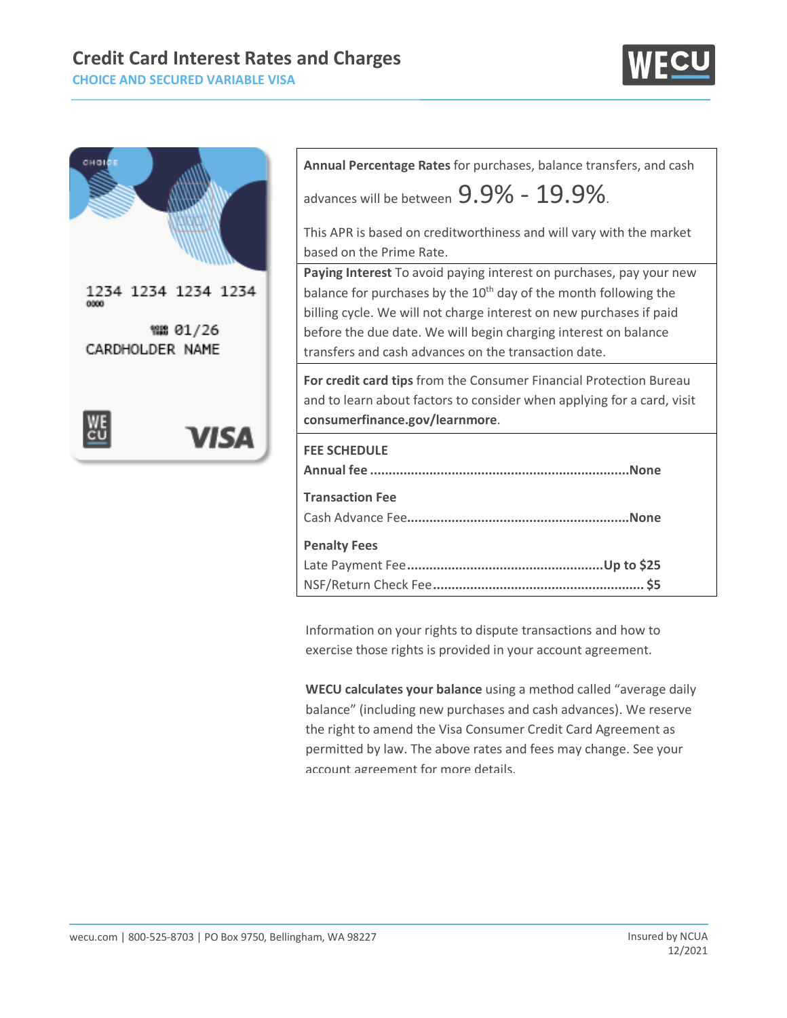# **Credit Card Interest Rates and Charges**

**CHOICE AND SECURED VARIABLE VISA**





| Annual Percentage Rates for purchases, balance transfers, and cash                                                                                                                                                                                                                                                                                    |
|-------------------------------------------------------------------------------------------------------------------------------------------------------------------------------------------------------------------------------------------------------------------------------------------------------------------------------------------------------|
| advances will be between $9.9\%$ – $19.9\%$ .                                                                                                                                                                                                                                                                                                         |
| This APR is based on creditworthiness and will vary with the market                                                                                                                                                                                                                                                                                   |
| based on the Prime Rate.                                                                                                                                                                                                                                                                                                                              |
| Paying Interest To avoid paying interest on purchases, pay your new<br>balance for purchases by the 10 <sup>th</sup> day of the month following the<br>billing cycle. We will not charge interest on new purchases if paid<br>before the due date. We will begin charging interest on balance<br>transfers and cash advances on the transaction date. |
| For credit card tips from the Consumer Financial Protection Bureau                                                                                                                                                                                                                                                                                    |
| and to learn about factors to consider when applying for a card, visit<br>consumerfinance.gov/learnmore.                                                                                                                                                                                                                                              |
| <b>FEE SCHEDULE</b>                                                                                                                                                                                                                                                                                                                                   |
| <b>Transaction Fee</b>                                                                                                                                                                                                                                                                                                                                |

Information on your rights to dispute transactions and how to exercise those rights is provided in your account agreement.

NSF/Return Check Fee**......................................................... \$5**

**WECU calculates your balance** using a method called "average daily balance" (including new purchases and cash advances). We reserve the right to amend the Visa Consumer Credit Card Agreement as permitted by law. The above rates and fees may change. See your account agreement for more details.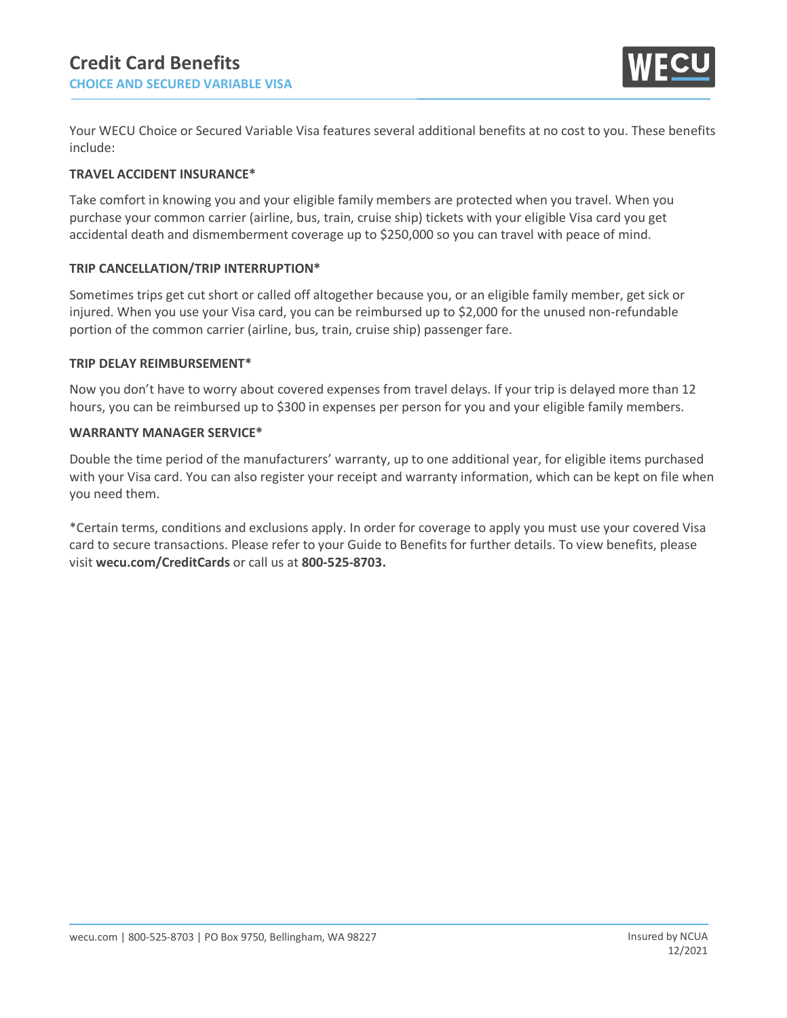

Your WECU Choice or Secured Variable Visa features several additional benefits at no cost to you. These benefits include:

### **TRAVEL ACCIDENT INSURANCE\***

Take comfort in knowing you and your eligible family members are protected when you travel. When you purchase your common carrier (airline, bus, train, cruise ship) tickets with your eligible Visa card you get accidental death and dismemberment coverage up to \$250,000 so you can travel with peace of mind.

## **TRIP CANCELLATION/TRIP INTERRUPTION\***

Sometimes trips get cut short or called off altogether because you, or an eligible family member, get sick or injured. When you use your Visa card, you can be reimbursed up to \$2,000 for the unused non-refundable portion of the common carrier (airline, bus, train, cruise ship) passenger fare.

#### **TRIP DELAY REIMBURSEMENT\***

Now you don't have to worry about covered expenses from travel delays. If your trip is delayed more than 12 hours, you can be reimbursed up to \$300 in expenses per person for you and your eligible family members.

#### **WARRANTY MANAGER SERVICE\***

Double the time period of the manufacturers' warranty, up to one additional year, for eligible items purchased with your Visa card. You can also register your receipt and warranty information, which can be kept on file when you need them.

\*Certain terms, conditions and exclusions apply. In order for coverage to apply you must use your covered Visa card to secure transactions. Please refer to your Guide to Benefits for further details. To view benefits, please visit **wecu.com/CreditCards** or call us at **800-525-8703.**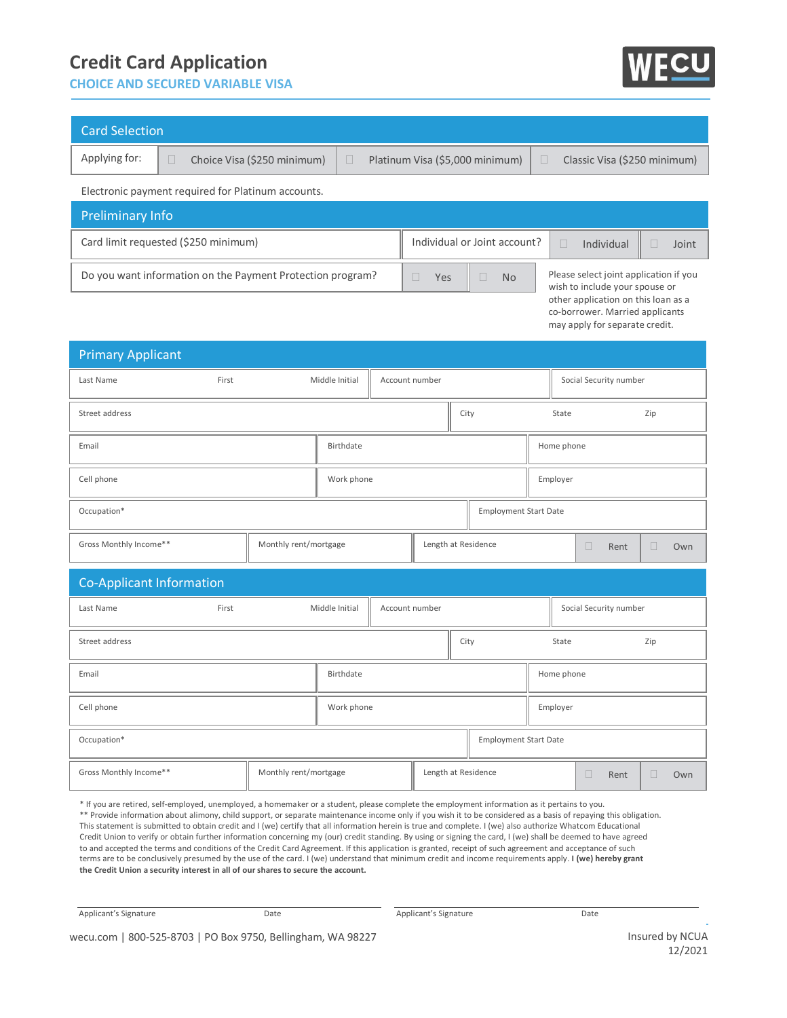## **Credit Card Application**

**CHOICE AND SECURED VARIABLE VISA**



| <b>Card Selection</b>                                                                                                                                                                                                                                                                      |                                                 |            |  |           |                                           |                                                        |               |                              |                        |                                         |        |     |  |
|--------------------------------------------------------------------------------------------------------------------------------------------------------------------------------------------------------------------------------------------------------------------------------------------|-------------------------------------------------|------------|--|-----------|-------------------------------------------|--------------------------------------------------------|---------------|------------------------------|------------------------|-----------------------------------------|--------|-----|--|
| Applying for:                                                                                                                                                                                                                                                                              | Choice Visa (\$250 minimum)<br>$\Box$<br>$\Box$ |            |  |           | Platinum Visa (\$5,000 minimum)<br>$\Box$ |                                                        |               |                              |                        | Classic Visa (\$250 minimum)            |        |     |  |
| Electronic payment required for Platinum accounts.                                                                                                                                                                                                                                         |                                                 |            |  |           |                                           |                                                        |               |                              |                        |                                         |        |     |  |
| <b>Preliminary Info</b>                                                                                                                                                                                                                                                                    |                                                 |            |  |           |                                           |                                                        |               |                              |                        |                                         |        |     |  |
| Card limit requested (\$250 minimum)                                                                                                                                                                                                                                                       |                                                 |            |  |           |                                           | Individual or Joint account?                           |               |                              |                        | $\Box$<br>Individual<br>$\Box$<br>Joint |        |     |  |
| Do you want information on the Payment Protection program?<br>Please select joint application if you<br>$\Box$<br>$\Box$<br><b>No</b><br>Yes<br>wish to include your spouse or<br>other application on this loan as a<br>co-borrower. Married applicants<br>may apply for separate credit. |                                                 |            |  |           |                                           |                                                        |               |                              |                        |                                         |        |     |  |
| <b>Primary Applicant</b>                                                                                                                                                                                                                                                                   |                                                 |            |  |           |                                           |                                                        |               |                              |                        |                                         |        |     |  |
| Last Name                                                                                                                                                                                                                                                                                  | Middle Initial<br>First                         |            |  |           | Account number                            |                                                        |               | Social Security number       |                        |                                         |        |     |  |
| Street address                                                                                                                                                                                                                                                                             |                                                 |            |  |           |                                           |                                                        | City<br>State |                              |                        | Zip                                     |        |     |  |
| Birthdate<br>Email                                                                                                                                                                                                                                                                         |                                                 |            |  |           | Home phone                                |                                                        |               |                              |                        |                                         |        |     |  |
| Work phone<br>Cell phone                                                                                                                                                                                                                                                                   |                                                 |            |  |           |                                           | Employer                                               |               |                              |                        |                                         |        |     |  |
| Occupation*                                                                                                                                                                                                                                                                                |                                                 |            |  |           |                                           |                                                        |               | <b>Employment Start Date</b> |                        |                                         |        |     |  |
| Gross Monthly Income**<br>Monthly rent/mortgage                                                                                                                                                                                                                                            |                                                 |            |  |           |                                           | Length at Residence                                    |               |                              |                        | 0<br>Rent                               | $\Box$ | Own |  |
| <b>Co-Applicant Information</b>                                                                                                                                                                                                                                                            |                                                 |            |  |           |                                           |                                                        |               |                              |                        |                                         |        |     |  |
| Last Name                                                                                                                                                                                                                                                                                  | Middle Initial<br>First                         |            |  |           | Account number                            |                                                        |               |                              | Social Security number |                                         |        |     |  |
| Street address                                                                                                                                                                                                                                                                             |                                                 |            |  |           |                                           | City                                                   |               |                              | State<br>Zip           |                                         |        |     |  |
| Email                                                                                                                                                                                                                                                                                      |                                                 |            |  | Birthdate |                                           |                                                        |               | Home phone                   |                        |                                         |        |     |  |
| Cell phone                                                                                                                                                                                                                                                                                 |                                                 | Work phone |  |           |                                           |                                                        | Employer      |                              |                        |                                         |        |     |  |
| Occupation*                                                                                                                                                                                                                                                                                |                                                 |            |  |           |                                           | <b>Employment Start Date</b>                           |               |                              |                        |                                         |        |     |  |
| Gross Monthly Income**                                                                                                                                                                                                                                                                     | Monthly rent/mortgage                           |            |  |           |                                           | Length at Residence<br>$\Box$<br>$\Box$<br>Rent<br>Own |               |                              |                        |                                         |        |     |  |
|                                                                                                                                                                                                                                                                                            |                                                 |            |  |           |                                           |                                                        |               |                              |                        |                                         |        |     |  |

\* If you are retired, self-employed, unemployed, a homemaker or a student, please complete the employment information as it pertains to you. \*\* Provide information about alimony, child support, or separate maintenance income only if you wish it to be considered as a basis of repaying this obligation. This statement is submitted to obtain credit and I (we) certify that all information herein is true and complete. I (we) also authorize Whatcom Educational Credit Union to verify or obtain further information concerning my (our) credit standing. By using or signing the card, I (we) shall be deemed to have agreed to and accepted the terms and conditions of the Credit Card Agreement. If this application is granted, receipt of such agreement and acceptance of such terms are to be conclusively presumed by the use of the card. I (we) understand that minimum credit and income requirements apply. **I (we) hereby grant the Credit Union a security interest in all of our shares to secure the account.**

Applicant's Signature Date Date Date Applicant's Signature Date Date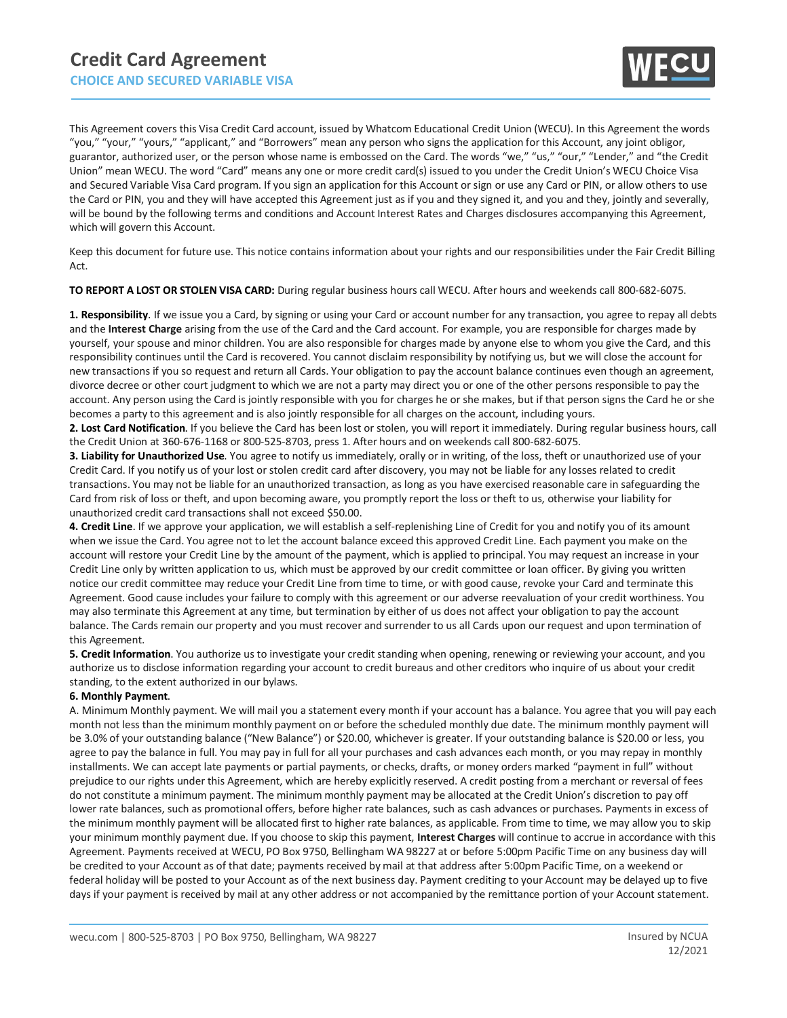

This Agreement covers this Visa Credit Card account, issued by Whatcom Educational Credit Union (WECU). In this Agreement the words "you," "your," "yours," "applicant," and "Borrowers" mean any person who signs the application for this Account, any joint obligor, guarantor, authorized user, or the person whose name is embossed on the Card. The words "we," "us," "our," "Lender," and "the Credit Union" mean WECU. The word "Card" means any one or more credit card(s) issued to you under the Credit Union's WECU Choice Visa and Secured Variable Visa Card program. If you sign an application for this Account or sign or use any Card or PIN, or allow others to use the Card or PIN, you and they will have accepted this Agreement just as if you and they signed it, and you and they, jointly and severally, will be bound by the following terms and conditions and Account Interest Rates and Charges disclosures accompanying this Agreement, which will govern this Account.

Keep this document for future use. This notice contains information about your rights and our responsibilities under the Fair Credit Billing Act.

**TO REPORT A LOST OR STOLEN VISA CARD:** During regular business hours call WECU. After hours and weekends call 800-682-6075.

**1. Responsibility**. If we issue you a Card, by signing or using your Card or account number for any transaction, you agree to repay all debts and the **Interest Charge** arising from the use of the Card and the Card account. For example, you are responsible for charges made by yourself, your spouse and minor children. You are also responsible for charges made by anyone else to whom you give the Card, and this responsibility continues until the Card is recovered. You cannot disclaim responsibility by notifying us, but we will close the account for new transactions if you so request and return all Cards. Your obligation to pay the account balance continues even though an agreement, divorce decree or other court judgment to which we are not a party may direct you or one of the other persons responsible to pay the account. Any person using the Card is jointly responsible with you for charges he or she makes, but if that person signs the Card he or she becomes a party to this agreement and is also jointly responsible for all charges on the account, including yours.

**2. Lost Card Notification**. If you believe the Card has been lost or stolen, you will report it immediately. During regular business hours, call the Credit Union at 360-676-1168 or 800-525-8703, press 1. After hours and on weekends call 800-682-6075.

**3. Liability for Unauthorized Use**. You agree to notify us immediately, orally or in writing, of the loss, theft or unauthorized use of your Credit Card. If you notify us of your lost or stolen credit card after discovery, you may not be liable for any losses related to credit transactions. You may not be liable for an unauthorized transaction, as long as you have exercised reasonable care in safeguarding the Card from risk of loss or theft, and upon becoming aware, you promptly report the loss or theft to us, otherwise your liability for unauthorized credit card transactions shall not exceed \$50.00.

**4. Credit Line**. If we approve your application, we will establish a self-replenishing Line of Credit for you and notify you of its amount when we issue the Card. You agree not to let the account balance exceed this approved Credit Line. Each payment you make on the account will restore your Credit Line by the amount of the payment, which is applied to principal. You may request an increase in your Credit Line only by written application to us, which must be approved by our credit committee or loan officer. By giving you written notice our credit committee may reduce your Credit Line from time to time, or with good cause, revoke your Card and terminate this Agreement. Good cause includes your failure to comply with this agreement or our adverse reevaluation of your credit worthiness. You may also terminate this Agreement at any time, but termination by either of us does not affect your obligation to pay the account balance. The Cards remain our property and you must recover and surrender to us all Cards upon our request and upon termination of this Agreement.

**5. Credit Information**. You authorize us to investigate your credit standing when opening, renewing or reviewing your account, and you authorize us to disclose information regarding your account to credit bureaus and other creditors who inquire of us about your credit standing, to the extent authorized in our bylaws.

#### **6. Monthly Payment**.

A. Minimum Monthly payment. We will mail you a statement every month if your account has a balance. You agree that you will pay each month not less than the minimum monthly payment on or before the scheduled monthly due date. The minimum monthly payment will be 3.0% of your outstanding balance ("New Balance") or \$20.00, whichever is greater. If your outstanding balance is \$20.00 or less, you agree to pay the balance in full. You may pay in full for all your purchases and cash advances each month, or you may repay in monthly installments. We can accept late payments or partial payments, or checks, drafts, or money orders marked "payment in full" without prejudice to our rights under this Agreement, which are hereby explicitly reserved. A credit posting from a merchant or reversal of fees do not constitute a minimum payment. The minimum monthly payment may be allocated at the Credit Union's discretion to pay off lower rate balances, such as promotional offers, before higher rate balances, such as cash advances or purchases. Payments in excess of the minimum monthly payment will be allocated first to higher rate balances, as applicable. From time to time, we may allow you to skip your minimum monthly payment due. If you choose to skip this payment, **Interest Charges** will continue to accrue in accordance with this Agreement. Payments received at WECU, PO Box 9750, Bellingham WA 98227 at or before 5:00pm Pacific Time on any business day will be credited to your Account as of that date; payments received by mail at that address after 5:00pm Pacific Time, on a weekend or federal holiday will be posted to your Account as of the next business day. Payment crediting to your Account may be delayed up to five days if your payment is received by mail at any other address or not accompanied by the remittance portion of your Account statement.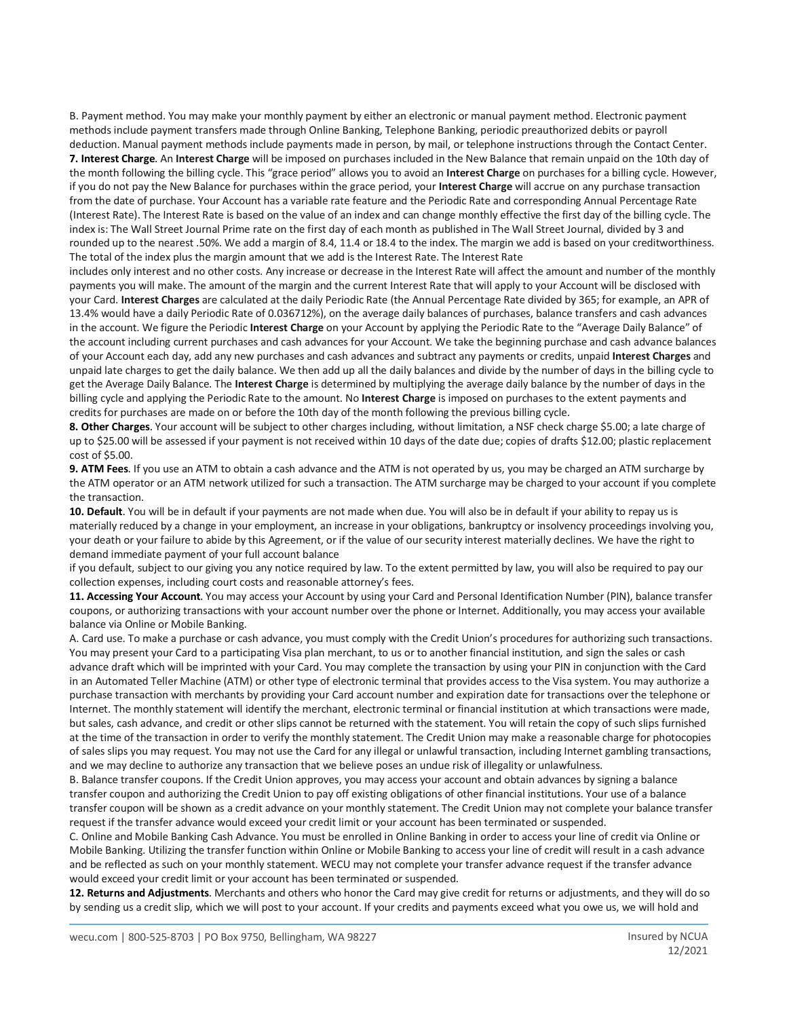B. Payment method. You may make your monthly payment by either an electronic or manual payment method. Electronic payment methods include payment transfers made through Online Banking, Telephone Banking, periodic preauthorized debits or payroll deduction. Manual payment methods include payments made in person, by mail, or telephone instructions through the Contact Center.

**7. Interest Charge**. An **Interest Charge** will be imposed on purchases included in the New Balance that remain unpaid on the 10th day of the month following the billing cycle. This "grace period" allows you to avoid an **Interest Charge** on purchases for a billing cycle. However, if you do not pay the New Balance for purchases within the grace period, your **Interest Charge** will accrue on any purchase transaction from the date of purchase. Your Account has a variable rate feature and the Periodic Rate and corresponding Annual Percentage Rate (Interest Rate). The Interest Rate is based on the value of an index and can change monthly effective the first day of the billing cycle. The index is: The Wall Street Journal Prime rate on the first day of each month as published in The Wall Street Journal, divided by 3 and rounded up to the nearest .50%. We add a margin of 8.4, 11.4 or 18.4 to the index. The margin we add is based on your creditworthiness. The total of the index plus the margin amount that we add is the Interest Rate. The Interest Rate

includes only interest and no other costs. Any increase or decrease in the Interest Rate will affect the amount and number of the monthly payments you will make. The amount of the margin and the current Interest Rate that will apply to your Account will be disclosed with your Card. **Interest Charges** are calculated at the daily Periodic Rate (the Annual Percentage Rate divided by 365; for example, an APR of 13.4% would have a daily Periodic Rate of 0.036712%), on the average daily balances of purchases, balance transfers and cash advances in the account. We figure the Periodic **Interest Charge** on your Account by applying the Periodic Rate to the "Average Daily Balance" of the account including current purchases and cash advances for your Account. We take the beginning purchase and cash advance balances of your Account each day, add any new purchases and cash advances and subtract any payments or credits, unpaid **Interest Charges** and unpaid late charges to get the daily balance. We then add up all the daily balances and divide by the number of days in the billing cycle to get the Average Daily Balance. The **Interest Charge** is determined by multiplying the average daily balance by the number of days in the billing cycle and applying the Periodic Rate to the amount. No **Interest Charge** is imposed on purchases to the extent payments and credits for purchases are made on or before the 10th day of the month following the previous billing cycle.

8. Other Charges. Your account will be subject to other charges including, without limitation, a NSF check charge \$5.00; a late charge of up to \$25.00 will be assessed if your payment is not received within 10 days of the date due; copies of drafts \$12.00; plastic replacement cost of \$5.00.

**9. ATM Fees**. If you use an ATM to obtain a cash advance and the ATM is not operated by us, you may be charged an ATM surcharge by the ATM operator or an ATM network utilized for such a transaction. The ATM surcharge may be charged to your account if you complete the transaction.

**10. Default**. You will be in default if your payments are not made when due. You will also be in default if your ability to repay us is materially reduced by a change in your employment, an increase in your obligations, bankruptcy or insolvency proceedings involving you, your death or your failure to abide by this Agreement, or if the value of our security interest materially declines. We have the right to demand immediate payment of your full account balance

if you default, subject to our giving you any notice required by law. To the extent permitted by law, you will also be required to pay our collection expenses, including court costs and reasonable attorney's fees.

**11. Accessing Your Account**. You may access your Account by using your Card and Personal Identification Number (PIN), balance transfer coupons, or authorizing transactions with your account number over the phone or Internet. Additionally, you may access your available balance via Online or Mobile Banking.

A. Card use. To make a purchase or cash advance, you must comply with the Credit Union's procedures for authorizing such transactions. You may present your Card to a participating Visa plan merchant, to us or to another financial institution, and sign the sales or cash advance draft which will be imprinted with your Card. You may complete the transaction by using your PIN in conjunction with the Card in an Automated Teller Machine (ATM) or other type of electronic terminal that provides access to the Visa system. You may authorize a purchase transaction with merchants by providing your Card account number and expiration date for transactions over the telephone or Internet. The monthly statement will identify the merchant, electronic terminal or financial institution at which transactions were made, but sales, cash advance, and credit or other slips cannot be returned with the statement. You will retain the copy of such slips furnished at the time of the transaction in order to verify the monthly statement. The Credit Union may make a reasonable charge for photocopies of sales slips you may request. You may not use the Card for any illegal or unlawful transaction, including Internet gambling transactions, and we may decline to authorize any transaction that we believe poses an undue risk of illegality or unlawfulness.

B. Balance transfer coupons. If the Credit Union approves, you may access your account and obtain advances by signing a balance transfer coupon and authorizing the Credit Union to pay off existing obligations of other financial institutions. Your use of a balance transfer coupon will be shown as a credit advance on your monthly statement. The Credit Union may not complete your balance transfer request if the transfer advance would exceed your credit limit or your account has been terminated or suspended.

C. Online and Mobile Banking Cash Advance. You must be enrolled in Online Banking in order to access your line of credit via Online or Mobile Banking. Utilizing the transfer function within Online or Mobile Banking to access your line of credit will result in a cash advance and be reflected as such on your monthly statement. WECU may not complete your transfer advance request if the transfer advance would exceed your credit limit or your account has been terminated or suspended.

**12. Returns and Adjustments**. Merchants and others who honor the Card may give credit for returns or adjustments, and they will do so by sending us a credit slip, which we will post to your account. If your credits and payments exceed what you owe us, we will hold and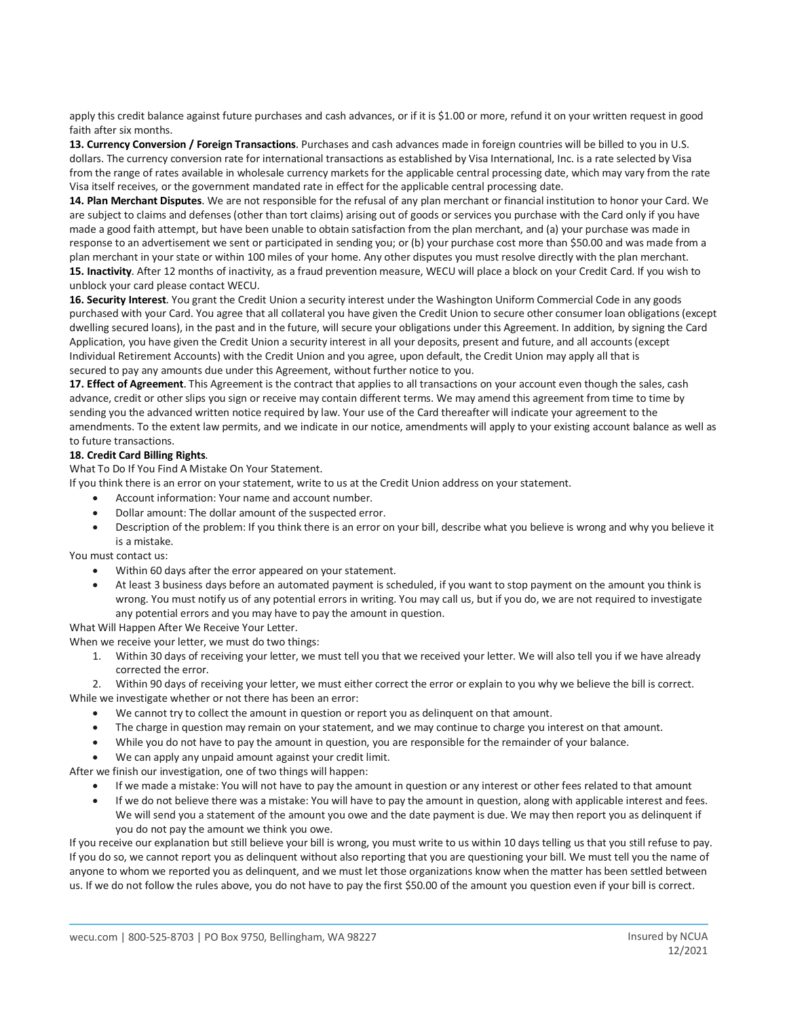apply this credit balance against future purchases and cash advances, or if it is \$1.00 or more, refund it on your written request in good faith after six months.

**13. Currency Conversion / Foreign Transactions**. Purchases and cash advances made in foreign countries will be billed to you in U.S. dollars. The currency conversion rate for international transactions as established by Visa International, Inc. is a rate selected by Visa from the range of rates available in wholesale currency markets for the applicable central processing date, which may vary from the rate Visa itself receives, or the government mandated rate in effect for the applicable central processing date.

**14. Plan Merchant Disputes**. We are not responsible for the refusal of any plan merchant or financial institution to honor your Card. We are subject to claims and defenses (other than tort claims) arising out of goods or services you purchase with the Card only if you have made a good faith attempt, but have been unable to obtain satisfaction from the plan merchant, and (a) your purchase was made in response to an advertisement we sent or participated in sending you; or (b) your purchase cost more than \$50.00 and was made from a plan merchant in your state or within 100 miles of your home. Any other disputes you must resolve directly with the plan merchant. **15. Inactivity**. After 12 months of inactivity, as a fraud prevention measure, WECU will place a block on your Credit Card. If you wish to unblock your card please contact WECU.

**16. Security Interest**. You grant the Credit Union a security interest under the Washington Uniform Commercial Code in any goods purchased with your Card. You agree that all collateral you have given the Credit Union to secure other consumer loan obligations (except dwelling secured loans), in the past and in the future, will secure your obligations under this Agreement. In addition, by signing the Card Application, you have given the Credit Union a security interest in all your deposits, present and future, and all accounts (except Individual Retirement Accounts) with the Credit Union and you agree, upon default, the Credit Union may apply all that is secured to pay any amounts due under this Agreement, without further notice to you.

**17. Effect of Agreement**. This Agreement is the contract that applies to all transactions on your account even though the sales, cash advance, credit or other slips you sign or receive may contain different terms. We may amend this agreement from time to time by sending you the advanced written notice required by law. Your use of the Card thereafter will indicate your agreement to the amendments. To the extent law permits, and we indicate in our notice, amendments will apply to your existing account balance as well as to future transactions.

#### **18. Credit Card Billing Rights**.

What To Do If You Find A Mistake On Your Statement.

If you think there is an error on your statement, write to us at the Credit Union address on your statement.

- Account information: Your name and account number.
- Dollar amount: The dollar amount of the suspected error.
- Description of the problem: If you think there is an error on your bill, describe what you believe is wrong and why you believe it is a mistake.

You must contact us:

- Within 60 days after the error appeared on your statement.
- At least 3 business days before an automated payment is scheduled, if you want to stop payment on the amount you think is wrong. You must notify us of any potential errors in writing. You may call us, but if you do, we are not required to investigate any potential errors and you may have to pay the amount in question.

What Will Happen After We Receive Your Letter.

When we receive your letter, we must do two things:

1. Within 30 days of receiving your letter, we must tell you that we received your letter. We will also tell you if we have already corrected the error.

2. Within 90 days of receiving your letter, we must either correct the error or explain to you why we believe the bill is correct. While we investigate whether or not there has been an error:

- We cannot try to collect the amount in question or report you as delinquent on that amount.
- The charge in question may remain on your statement, and we may continue to charge you interest on that amount.
- While you do not have to pay the amount in question, you are responsible for the remainder of your balance.
- We can apply any unpaid amount against your credit limit.

After we finish our investigation, one of two things will happen:

- If we made a mistake: You will not have to pay the amount in question or any interest or other fees related to that amount
- If we do not believe there was a mistake: You will have to pay the amount in question, along with applicable interest and fees. We will send you a statement of the amount you owe and the date payment is due. We may then report you as delinguent if you do not pay the amount we think you owe.

If you receive our explanation but still believe your bill is wrong, you must write to us within 10 days telling us that you still refuse to pay. If you do so, we cannot report you as delinquent without also reporting that you are questioning your bill. We must tell you the name of anyone to whom we reported you as delinquent, and we must let those organizations know when the matter has been settled between us. If we do not follow the rules above, you do not have to pay the first \$50.00 of the amount you question even if your bill is correct.